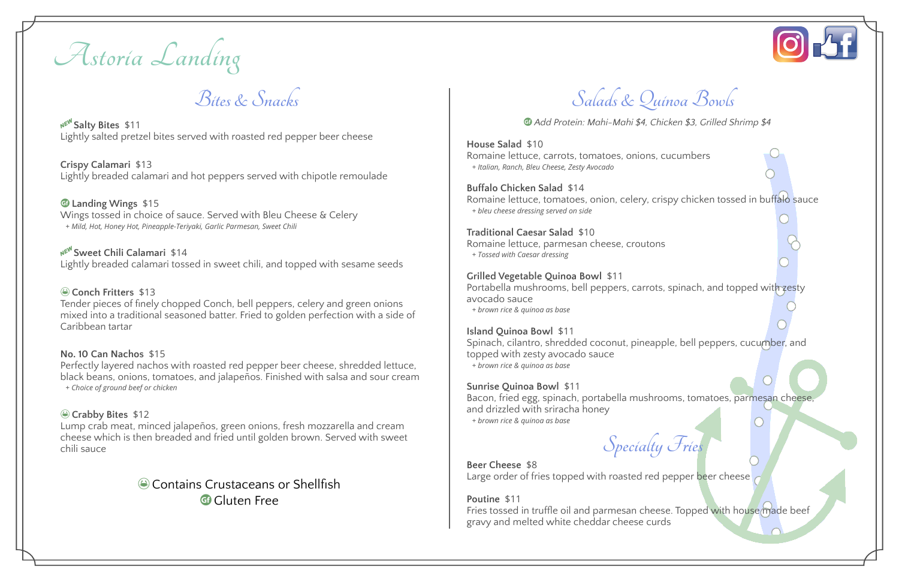**Astoria Landing**

**Bites & Snacks**

A**Salty Bites** \$11 Lightly salted pretzel bites served with roasted red pepper beer cheese

**Crispy Calamari** \$13 Lightly breaded calamari and hot peppers served with chipotle remoulade

u **Landing Wings** \$15 Wings tossed in choice of sauce. Served with Bleu Cheese & Celery *+ Mild, Hot, Honey Hot, Pineapple-Teriyaki, Garlic Parmesan, Sweet Chili*

#### A**Sweet Chili Calamari** \$14 Lightly breaded calamari tossed in sweet chili, and topped with sesame seeds

ð **Conch Fritters** \$13

ðContains Crustaceans or Shellfish G Gluten Free

Tender pieces of finely chopped Conch, bell peppers, celery and green onions mixed into a traditional seasoned batter. Fried to golden perfection with a side of Caribbean tartar

## **No. 10 Can Nachos** \$15

Perfectly layered nachos with roasted red pepper beer cheese, shredded lettuce, black beans, onions, tomatoes, and jalapeños. Finished with salsa and sour cream *+ Choice of ground beef or chicken*

# ð **Crabby Bites** \$12

Lump crab meat, minced jalapeños, green onions, fresh mozzarella and cream cheese which is then breaded and fried until golden brown. Served with sweet chili sauce

> **Beer Cheese** \$8 Large order of fries topped with roasted red pepper beer cheese

**Salads & Quinoa Bowls**

u *Add Protein: Mahi-Mahi \$4, Chicken \$3, Grilled Shrimp \$4*

**House Salad** \$10 Romaine lettuce, carrots, tomatoes, onions, cucumbers *+ Italian, Ranch, Bleu Cheese, Zesty Avocado*

**Buffalo Chicken Salad** \$14 Romaine lettuce, tomatoes, onion, celery, crispy chicken tossed in buffalo sauce *+ bleu cheese dressing served on side*

**Traditional Caesar Salad** \$10 Romaine lettuce, parmesan cheese, croutons *+ Tossed with Caesar dressing*

## **Grilled Vegetable Quinoa Bowl** \$11

Portabella mushrooms, bell peppers, carrots, spinach, and topped with zesty avocado sauce *+ brown rice & quinoa as base*

## **Island Quinoa Bowl** \$11

Spinach, cilantro, shredded coconut, pineapple, bell peppers, cucumber, and topped with zesty avocado sauce *+ brown rice & quinoa as base*

## **Sunrise Quinoa Bowl** \$11

Bacon, fried egg, spinach, portabella mushrooms, tomatoes, parmesan cheese, and drizzled with sriracha honey *+ brown rice & quinoa as base*

**Specialty Fries**

**Poutine** \$11 Fries tossed in truffle oil and parmesan cheese. Topped with house made beef gravy and melted white cheddar cheese curds